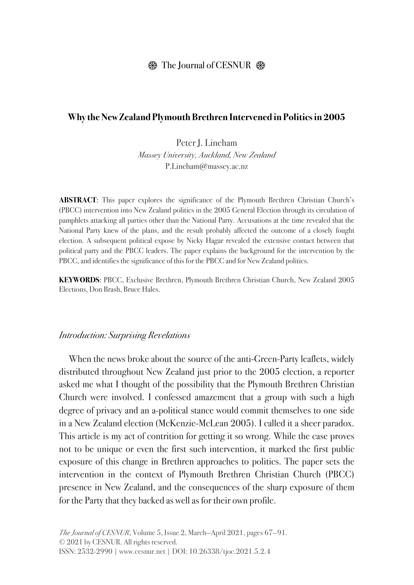# $\circledast$  The Journal of CESNUR  $\circledast$

#### **Why the New Zealand Plymouth Brethren Intervened in Politics in 2005**

Peter J. Lineham *Massey University, Auckland, New Zealand* P.Lineham@massey.ac.nz

**ABSTRACT**: This paper explores the significance of the Plymouth Brethren Christian Church's (PBCC) intervention into New Zealand politics in the 2005 General Election through its circulation of pamphlets attacking all parties other than the National Party. Accusations at the time revealed that the National Party knew of the plans, and the result probably affected the outcome of a closely fought election. A subsequent political expose by Nicky Hagar revealed the extensive contact between that political party and the PBCC leaders. The paper explains the background for the intervention by the PBCC, and identifies the significance of this for the PBCC and for New Zealand politics.

**KEYWORDS**: PBCC, Exclusive Brethren, Plymouth Brethren Christian Church, New Zealand 2005 Elections, Don Brash, Bruce Hales.

#### *Introduction: Surprising Revelations*

When the news broke about the source of the anti-Green-Party leaflets, widely distributed throughout New Zealand just prior to the 2005 election, a reporter asked me what I thought of the possibility that the Plymouth Brethren Christian Church were involved. I confessed amazement that a group with such a high degree of privacy and an a-political stance would commit themselves to one side in a New Zealand election (McKenzie-McLean 2005). I called it a sheer paradox. This article is my act of contrition for getting it so wrong. While the case proves not to be unique or even the first such intervention, it marked the first public exposure of this change in Brethren approaches to politics. The paper sets the intervention in the context of Plymouth Brethren Christian Church (PBCC) presence in New Zealand, and the consequences of the sharp exposure of them for the Party that they backed as well as for their own profile.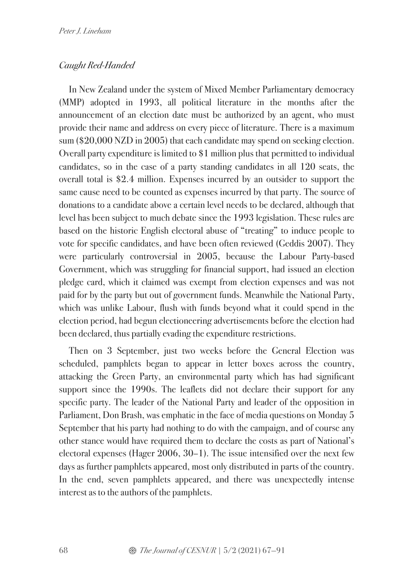# *Caught Red-Handed*

In New Zealand under the system of Mixed Member Parliamentary democracy (MMP) adopted in 1993, all political literature in the months after the announcement of an election date must be authorized by an agent, who must provide their name and address on every piece of literature. There is a maximum sum (\$20,000 NZD in 2005) that each candidate may spend on seeking election. Overall party expenditure is limited to \$1 million plus that permitted to individual candidates, so in the case of a party standing candidates in all 120 seats, the overall total is \$2.4 million. Expenses incurred by an outsider to support the same cause need to be counted as expenses incurred by that party. The source of donations to a candidate above a certain level needs to be declared, although that level has been subject to much debate since the 1993 legislation. These rules are based on the historic English electoral abuse of "treating" to induce people to vote for specific candidates, and have been often reviewed (Geddis 2007). They were particularly controversial in 2005, because the Labour Party-based Government, which was struggling for financial support, had issued an election pledge card, which it claimed was exempt from election expenses and was not paid for by the party but out of government funds. Meanwhile the National Party, which was unlike Labour, flush with funds beyond what it could spend in the election period, had begun electioneering advertisements before the election had been declared, thus partially evading the expenditure restrictions.

Then on 3 September, just two weeks before the General Election was scheduled, pamphlets began to appear in letter boxes across the country, attacking the Green Party, an environmental party which has had significant support since the 1990s. The leaflets did not declare their support for any specific party. The leader of the National Party and leader of the opposition in Parliament, Don Brash, was emphatic in the face of media questions on Monday 5 September that his party had nothing to do with the campaign, and of course any other stance would have required them to declare the costs as part of National's electoral expenses (Hager 2006, 30–1). The issue intensified over the next few days as further pamphlets appeared, most only distributed in parts of the country. In the end, seven pamphlets appeared, and there was unexpectedly intense interest as to the authors of the pamphlets.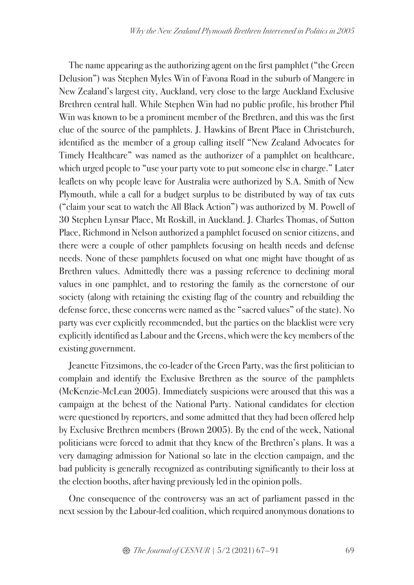The name appearing as the authorizing agent on the first pamphlet ("the Green Delusion") was Stephen Myles Win of Favona Road in the suburb of Mangere in New Zealand's largest city, Auckland, very close to the large Auckland Exclusive Brethren central hall. While Stephen Win had no public profile, his brother Phil Win was known to be a prominent member of the Brethren, and this was the first clue of the source of the pamphlets. J. Hawkins of Brent Place in Christchurch, identified as the member of a group calling itself "New Zealand Advocates for Timely Healthcare" was named as the authorizer of a pamphlet on healthcare, which urged people to "use your party vote to put someone else in charge." Later leaflets on why people leave for Australia were authorized by S.A. Smith of New Plymouth, while a call for a budget surplus to be distributed by way of tax cuts ("claim your seat to watch the All Black Action") was authorized by M. Powell of 30 Stephen Lynsar Place, Mt Roskill, in Auckland. J. Charles Thomas, of Sutton Place, Richmond in Nelson authorized a pamphlet focused on senior citizens, and there were a couple of other pamphlets focusing on health needs and defense needs. None of these pamphlets focused on what one might have thought of as Brethren values. Admittedly there was a passing reference to declining moral values in one pamphlet, and to restoring the family as the cornerstone of our society (along with retaining the existing flag of the country and rebuilding the defense force, these concerns were named as the "sacred values" of the state). No party was ever explicitly recommended, but the parties on the blacklist were very explicitly identified as Labour and the Greens, which were the key members of the existing government.

Jeanette Fitzsimons, the co-leader of the Green Party, was the first politician to complain and identify the Exclusive Brethren as the source of the pamphlets (McKenzie-McLean 2005). Immediately suspicions were aroused that this was a campaign at the behest of the National Party. National candidates for election were questioned by reporters, and some admitted that they had been offered help by Exclusive Brethren members (Brown 2005). By the end of the week, National politicians were forced to admit that they knew of the Brethren's plans. It was a very damaging admission for National so late in the election campaign, and the bad publicity is generally recognized as contributing significantly to their loss at the election booths, after having previously led in the opinion polls.

One consequence of the controversy was an act of parliament passed in the next session by the Labour-led coalition, which required anonymous donations to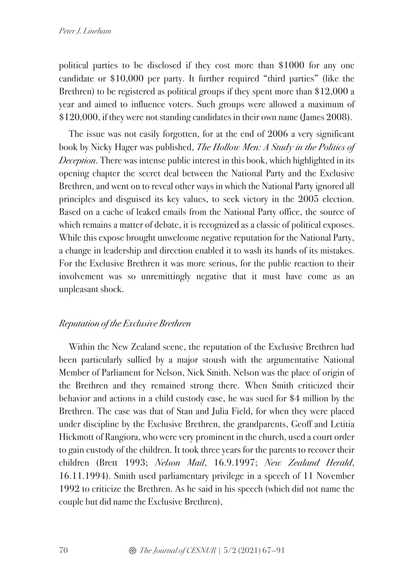political parties to be disclosed if they cost more than \$1000 for any one candidate or \$10,000 per party. It further required "third parties" (like the Brethren) to be registered as political groups if they spent more than \$12,000 a year and aimed to influence voters. Such groups were allowed a maximum of \$120,000, if they were not standing candidates in their own name (James 2008).

The issue was not easily forgotten, for at the end of 2006 a very significant book by Nicky Hager was published, *The Hollow Men: A Study in the Politics of Deception*. There was intense public interest in this book, which highlighted in its opening chapter the secret deal between the National Party and the Exclusive Brethren, and went on to reveal other ways in which the National Party ignored all principles and disguised its key values, to seek victory in the 2005 election. Based on a cache of leaked emails from the National Party office, the source of which remains a matter of debate, it is recognized as a classic of political exposes. While this expose brought unwelcome negative reputation for the National Party, a change in leadership and direction enabled it to wash its hands of its mistakes. For the Exclusive Brethren it was more serious, for the public reaction to their involvement was so unremittingly negative that it must have come as an unpleasant shock.

# *Reputation of the Exclusive Brethren*

Within the New Zealand scene, the reputation of the Exclusive Brethren had been particularly sullied by a major stoush with the argumentative National Member of Parliament for Nelson, Nick Smith. Nelson was the place of origin of the Brethren and they remained strong there. When Smith criticized their behavior and actions in a child custody case, he was sued for \$4 million by the Brethren. The case was that of Stan and Julia Field, for when they were placed under discipline by the Exclusive Brethren, the grandparents, Geoff and Letitia Hickmott of Rangiora, who were very prominent in the church, used a court order to gain custody of the children. It took three years for the parents to recover their children (Brett 1993; *Nelson Mail*, 16.9.1997; *New Zealand Herald*, 16.11.1994). Smith used parliamentary privilege in a speech of 11 November 1992 to criticize the Brethren. As he said in his speech (which did not name the couple but did name the Exclusive Brethren),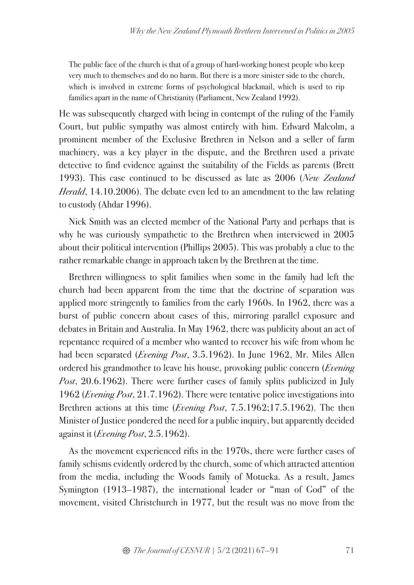The public face of the church is that of a group of hard-working honest people who keep very much to themselves and do no harm. But there is a more sinister side to the church, which is involved in extreme forms of psychological blackmail, which is used to rip families apart in the name of Christianity (Parliament, New Zealand 1992).

He was subsequently charged with being in contempt of the ruling of the Family Court, but public sympathy was almost entirely with him. Edward Malcolm, a prominent member of the Exclusive Brethren in Nelson and a seller of farm machinery, was a key player in the dispute, and the Brethren used a private detective to find evidence against the suitability of the Fields as parents (Brett 1993). This case continued to be discussed as late as 2006 (*New Zealand Herald*, 14.10.2006). The debate even led to an amendment to the law relating to custody (Ahdar 1996).

Nick Smith was an elected member of the National Party and perhaps that is why he was curiously sympathetic to the Brethren when interviewed in 2005 about their political intervention (Phillips 2005). This was probably a clue to the rather remarkable change in approach taken by the Brethren at the time.

Brethren willingness to split families when some in the family had left the church had been apparent from the time that the doctrine of separation was applied more stringently to families from the early 1960s. In 1962, there was a burst of public concern about cases of this, mirroring parallel exposure and debates in Britain and Australia. In May 1962, there was publicity about an act of repentance required of a member who wanted to recover his wife from whom he had been separated (*Evening Post*, 3.5.1962). In June 1962, Mr. Miles Allen ordered his grandmother to leave his house, provoking public concern (*Evening Post*, 20.6.1962). There were further cases of family splits publicized in July 1962 (*Evening Post*, 21.7.1962). There were tentative police investigations into Brethren actions at this time (*Evening Post*, 7.5.1962;17.5.1962). The then Minister of Justice pondered the need for a public inquiry, but apparently decided against it (*Evening Post*, 2.5.1962).

As the movement experienced rifts in the 1970s, there were further cases of family schisms evidently ordered by the church, some of which attracted attention from the media, including the Woods family of Motueka. As a result, James Symington (1913–1987), the international leader or "man of God" of the movement, visited Christchurch in 1977, but the result was no move from the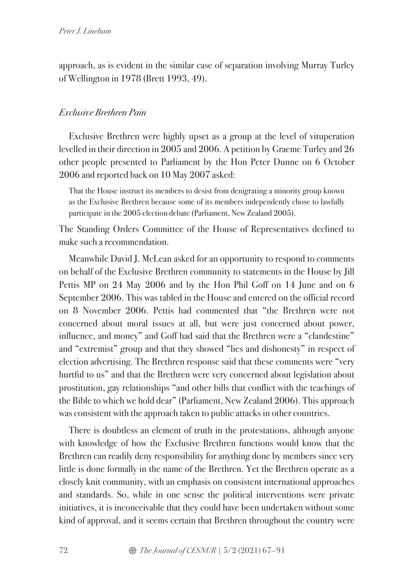approach, as is evident in the similar case of separation involving Murray Turley of Wellington in 1978 (Brett 1993, 49).

# *Exclusive Brethren Pain*

Exclusive Brethren were highly upset as a group at the level of vituperation levelled in their direction in 2005 and 2006. A petition by Graeme Turley and 26 other people presented to Parliament by the Hon Peter Dunne on 6 October 2006 and reported back on 10 May 2007 asked:

That the House instruct its members to desist from denigrating a minority group known as the Exclusive Brethren because some of its members independently chose to lawfully participate in the 2005 election debate (Parliament, New Zealand 2005).

The Standing Orders Committee of the House of Representatives declined to make such a recommendation.

Meanwhile David J. McLean asked for an opportunity to respond to comments on behalf of the Exclusive Brethren community to statements in the House by Jill Pettis MP on 24 May 2006 and by the Hon Phil Goff on 14 June and on 6 September 2006. This was tabled in the House and entered on the official record on 8 November 2006. Pettis had commented that "the Brethren were not concerned about moral issues at all, but were just concerned about power, influence, and money" and Goff had said that the Brethren were a "clandestine" and "extremist" group and that they showed "lies and dishonesty" in respect of election advertising. The Brethren response said that these comments were "very hurtful to us" and that the Brethren were very concerned about legislation about prostitution, gay relationships "and other bills that conflict with the teachings of the Bible to which we hold dear" (Parliament, New Zealand 2006). This approach was consistent with the approach taken to public attacks in other countries.

There is doubtless an element of truth in the protestations, although anyone with knowledge of how the Exclusive Brethren functions would know that the Brethren can readily deny responsibility for anything done by members since very little is done formally in the name of the Brethren. Yet the Brethren operate as a closely knit community, with an emphasis on consistent international approaches and standards. So, while in one sense the political interventions were private initiatives, it is inconceivable that they could have been undertaken without some kind of approval, and it seems certain that Brethren throughout the country were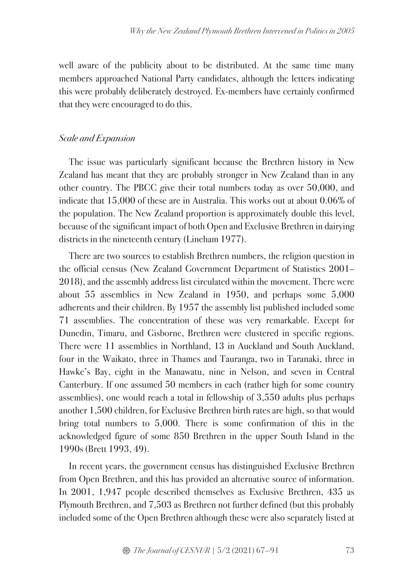well aware of the publicity about to be distributed. At the same time many members approached National Party candidates, although the letters indicating this were probably deliberately destroyed. Ex-members have certainly confirmed that they were encouraged to do this.

### *Scale and Expansion*

The issue was particularly significant because the Brethren history in New Zealand has meant that they are probably stronger in New Zealand than in any other country. The PBCC give their total numbers today as over 50,000, and indicate that 15,000 of these are in Australia. This works out at about 0.06% of the population. The New Zealand proportion is approximately double this level, because of the significant impact of both Open and Exclusive Brethren in dairying districts in the nineteenth century (Lineham 1977).

There are two sources to establish Brethren numbers, the religion question in the official census (New Zealand Government Department of Statistics 2001– 2018), and the assembly address list circulated within the movement. There were about 55 assemblies in New Zealand in 1950, and perhaps some 5,000 adherents and their children. By 1957 the assembly list published included some 71 assemblies. The concentration of these was very remarkable. Except for Dunedin, Timaru, and Gisborne, Brethren were clustered in specific regions. There were 11 assemblies in Northland, 13 in Auckland and South Auckland, four in the Waikato, three in Thames and Tauranga, two in Taranaki, three in Hawke's Bay, eight in the Manawatu, nine in Nelson, and seven in Central Canterbury. If one assumed 50 members in each (rather high for some country assemblies), one would reach a total in fellowship of 3,550 adults plus perhaps another 1,500 children, for Exclusive Brethren birth rates are high, so that would bring total numbers to 5,000. There is some confirmation of this in the acknowledged figure of some 850 Brethren in the upper South Island in the 1990s (Brett 1993, 49).

In recent years, the government census has distinguished Exclusive Brethren from Open Brethren, and this has provided an alternative source of information. In 2001, 1,947 people described themselves as Exclusive Brethren, 435 as Plymouth Brethren, and 7,503 as Brethren not further defined (but this probably included some of the Open Brethren although these were also separately listed at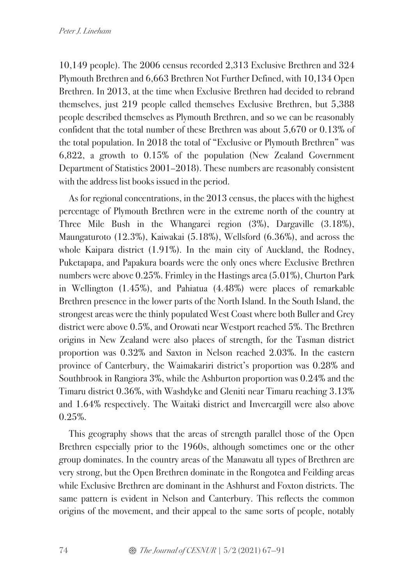10,149 people). The 2006 census recorded 2,313 Exclusive Brethren and 324 Plymouth Brethren and 6,663 Brethren Not Further Defined, with 10,134 Open Brethren. In 2013, at the time when Exclusive Brethren had decided to rebrand themselves, just 219 people called themselves Exclusive Brethren, but 5,388 people described themselves as Plymouth Brethren, and so we can be reasonably confident that the total number of these Brethren was about 5,670 or 0.13% of the total population. In 2018 the total of "Exclusive or Plymouth Brethren" was 6,822, a growth to 0.15% of the population (New Zealand Government Department of Statistics 2001–2018). These numbers are reasonably consistent with the address list books issued in the period.

As for regional concentrations, in the 2013 census, the places with the highest percentage of Plymouth Brethren were in the extreme north of the country at Three Mile Bush in the Whangarei region (3%), Dargaville (3.18%), Maungaturoto (12.3%), Kaiwakai (5.18%), Wellsford (6.36%), and across the whole Kaipara district (1.91%). In the main city of Auckland, the Rodney, Puketapapa, and Papakura boards were the only ones where Exclusive Brethren numbers were above 0.25%. Frimley in the Hastings area (5.01%), Churton Park in Wellington (1.45%), and Pahiatua (4.48%) were places of remarkable Brethren presence in the lower parts of the North Island. In the South Island, the strongest areas were the thinly populated West Coast where both Buller and Grey district were above 0.5%, and Orowati near Westport reached 5%. The Brethren origins in New Zealand were also places of strength, for the Tasman district proportion was 0.32% and Saxton in Nelson reached 2.03%. In the eastern province of Canterbury, the Waimakariri district's proportion was 0.28% and Southbrook in Rangiora 3%, while the Ashburton proportion was 0.24% and the Timaru district 0.36%, with Washdyke and Gleniti near Timaru reaching 3.13% and 1.64% respectively. The Waitaki district and Invercargill were also above 0.25%.

This geography shows that the areas of strength parallel those of the Open Brethren especially prior to the 1960s, although sometimes one or the other group dominates. In the country areas of the Manawatu all types of Brethren are very strong, but the Open Brethren dominate in the Rongotea and Feilding areas while Exclusive Brethren are dominant in the Ashhurst and Foxton districts. The same pattern is evident in Nelson and Canterbury. This reflects the common origins of the movement, and their appeal to the same sorts of people, notably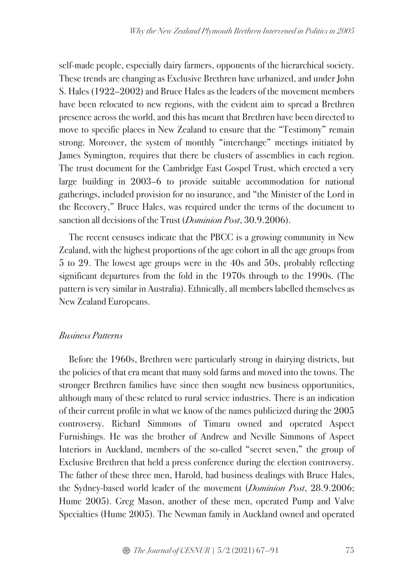self-made people, especially dairy farmers, opponents of the hierarchical society. These trends are changing as Exclusive Brethren have urbanized, and under John S. Hales (1922–2002) and Bruce Hales as the leaders of the movement members have been relocated to new regions, with the evident aim to spread a Brethren presence across the world, and this has meant that Brethren have been directed to move to specific places in New Zealand to ensure that the "Testimony" remain strong. Moreover, the system of monthly "interchange" meetings initiated by James Symington, requires that there be clusters of assemblies in each region. The trust document for the Cambridge East Gospel Trust, which erected a very large building in 2003–6 to provide suitable accommodation for national gatherings, included provision for no insurance, and "the Minister of the Lord in the Recovery," Bruce Hales, was required under the terms of the document to sanction all decisions of the Trust (*Dominion Post*, 30.9.2006).

The recent censuses indicate that the PBCC is a growing community in New Zealand, with the highest proportions of the age cohort in all the age groups from 5 to 29. The lowest age groups were in the 40s and 50s, probably reflecting significant departures from the fold in the 1970s through to the 1990s. (The pattern is very similar in Australia). Ethnically, all members labelled themselves as New Zealand Europeans.

# *Business Patterns*

Before the 1960s, Brethren were particularly strong in dairying districts, but the policies of that era meant that many sold farms and moved into the towns. The stronger Brethren families have since then sought new business opportunities, although many of these related to rural service industries. There is an indication of their current profile in what we know of the names publicized during the 2005 controversy. Richard Simmons of Timaru owned and operated Aspect Furnishings. He was the brother of Andrew and Neville Simmons of Aspect Interiors in Auckland, members of the so-called "secret seven," the group of Exclusive Brethren that held a press conference during the election controversy. The father of these three men, Harold, had business dealings with Bruce Hales, the Sydney-based world leader of the movement (*Dominion Post*, 28.9.2006; Hume 2005). Greg Mason, another of these men, operated Pump and Valve Specialties (Hume 2005). The Newman family in Auckland owned and operated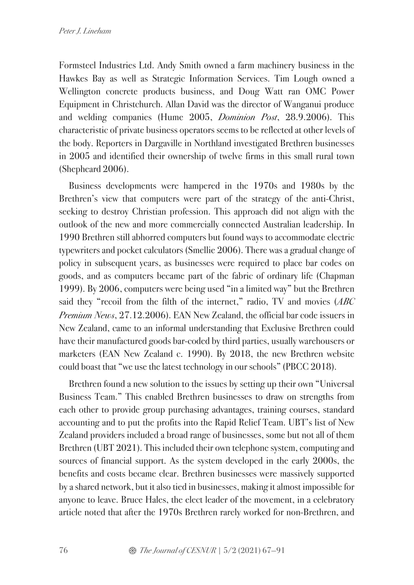Formsteel Industries Ltd. Andy Smith owned a farm machinery business in the Hawkes Bay as well as Strategic Information Services. Tim Lough owned a Wellington concrete products business, and Doug Watt ran OMC Power Equipment in Christchurch. Allan David was the director of Wanganui produce and welding companies (Hume 2005, *Dominion Post*, 28.9.2006). This characteristic of private business operators seems to be reflected at other levels of the body. Reporters in Dargaville in Northland investigated Brethren businesses in 2005 and identified their ownership of twelve firms in this small rural town (Shepheard 2006).

Business developments were hampered in the 1970s and 1980s by the Brethren's view that computers were part of the strategy of the anti-Christ, seeking to destroy Christian profession. This approach did not align with the outlook of the new and more commercially connected Australian leadership. In 1990 Brethren still abhorred computers but found ways to accommodate electric typewriters and pocket calculators (Smellie 2006). There was a gradual change of policy in subsequent years, as businesses were required to place bar codes on goods, and as computers became part of the fabric of ordinary life (Chapman 1999). By 2006, computers were being used "in a limited way" but the Brethren said they "recoil from the filth of the internet," radio, TV and movies (*ABC Premium News*, 27.12.2006). EAN New Zealand, the official bar code issuers in New Zealand, came to an informal understanding that Exclusive Brethren could have their manufactured goods bar-coded by third parties, usually warehousers or marketers (EAN New Zealand c. 1990). By 2018, the new Brethren website could boast that "we use the latest technology in our schools" (PBCC 2018).

Brethren found a new solution to the issues by setting up their own "Universal Business Team." This enabled Brethren businesses to draw on strengths from each other to provide group purchasing advantages, training courses, standard accounting and to put the profits into the Rapid Relief Team. UBT's list of New Zealand providers included a broad range of businesses, some but not all of them Brethren (UBT 2021). This included their own telephone system, computing and sources of financial support. As the system developed in the early 2000s, the benefits and costs became clear. Brethren businesses were massively supported by a shared network, but it also tied in businesses, making it almost impossible for anyone to leave. Bruce Hales, the elect leader of the movement, in a celebratory article noted that after the 1970s Brethren rarely worked for non-Brethren, and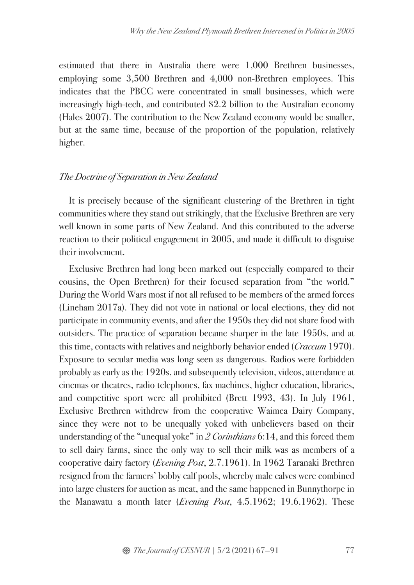estimated that there in Australia there were 1,000 Brethren businesses, employing some 3,500 Brethren and 4,000 non-Brethren employees. This indicates that the PBCC were concentrated in small businesses, which were increasingly high-tech, and contributed \$2.2 billion to the Australian economy (Hales 2007). The contribution to the New Zealand economy would be smaller, but at the same time, because of the proportion of the population, relatively higher.

### *The Doctrine of Separation in New Zealand*

It is precisely because of the significant clustering of the Brethren in tight communities where they stand out strikingly, that the Exclusive Brethren are very well known in some parts of New Zealand. And this contributed to the adverse reaction to their political engagement in 2005, and made it difficult to disguise their involvement.

Exclusive Brethren had long been marked out (especially compared to their cousins, the Open Brethren) for their focused separation from "the world." During the World Wars most if not all refused to be members of the armed forces (Lineham 2017a). They did not vote in national or local elections, they did not participate in community events, and after the 1950s they did not share food with outsiders. The practice of separation became sharper in the late 1950s, and at this time, contacts with relatives and neighborly behavior ended (*Craccum* 1970). Exposure to secular media was long seen as dangerous. Radios were forbidden probably as early as the 1920s, and subsequently television, videos, attendance at cinemas or theatres, radio telephones, fax machines, higher education, libraries, and competitive sport were all prohibited (Brett 1993, 43). In July 1961, Exclusive Brethren withdrew from the cooperative Waimea Dairy Company, since they were not to be unequally yoked with unbelievers based on their understanding of the "unequal yoke" in *2 Corinthians* 6:14, and this forced them to sell dairy farms, since the only way to sell their milk was as members of a cooperative dairy factory (*Evening Post*, 2.7.1961). In 1962 Taranaki Brethren resigned from the farmers' bobby calf pools, whereby male calves were combined into large clusters for auction as meat, and the same happened in Bunnythorpe in the Manawatu a month later (*Evening Post*, 4.5.1962; 19.6.1962). These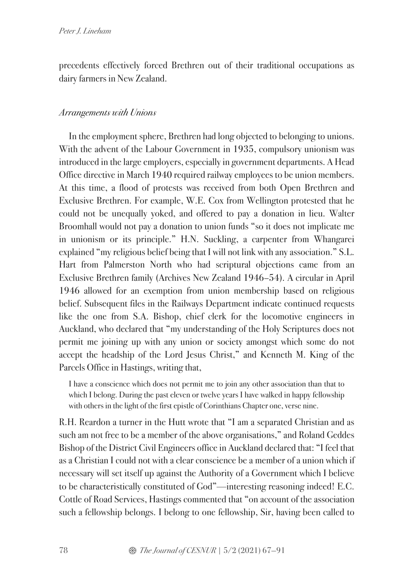precedents effectively forced Brethren out of their traditional occupations as dairy farmers in New Zealand.

# *Arrangements with Unions*

In the employment sphere, Brethren had long objected to belonging to unions. With the advent of the Labour Government in 1935, compulsory unionism was introduced in the large employers, especially in government departments. A Head Office directive in March 1940 required railway employees to be union members. At this time, a flood of protests was received from both Open Brethren and Exclusive Brethren. For example, W.E. Cox from Wellington protested that he could not be unequally yoked, and offered to pay a donation in lieu. Walter Broomhall would not pay a donation to union funds "so it does not implicate me in unionism or its principle." H.N. Suckling, a carpenter from Whangarei explained "my religious belief being that I will not link with any association." S.L. Hart from Palmerston North who had scriptural objections came from an Exclusive Brethren family (Archives New Zealand 1946–54). A circular in April 1946 allowed for an exemption from union membership based on religious belief. Subsequent files in the Railways Department indicate continued requests like the one from S.A. Bishop, chief clerk for the locomotive engineers in Auckland, who declared that "my understanding of the Holy Scriptures does not permit me joining up with any union or society amongst which some do not accept the headship of the Lord Jesus Christ," and Kenneth M. King of the Parcels Office in Hastings, writing that,

I have a conscience which does not permit me to join any other association than that to which I belong. During the past eleven or twelve years I have walked in happy fellowship with others in the light of the first epistle of Corinthians Chapter one, verse nine.

R.H. Reardon a turner in the Hutt wrote that "I am a separated Christian and as such am not free to be a member of the above organisations," and Roland Geddes Bishop of the District Civil Engineers office in Auckland declared that: "I feel that as a Christian I could not with a clear conscience be a member of a union which if necessary will set itself up against the Authority of a Government which I believe to be characteristically constituted of God"—interesting reasoning indeed! E.C. Cottle of Road Services, Hastings commented that "on account of the association such a fellowship belongs. I belong to one fellowship, Sir, having been called to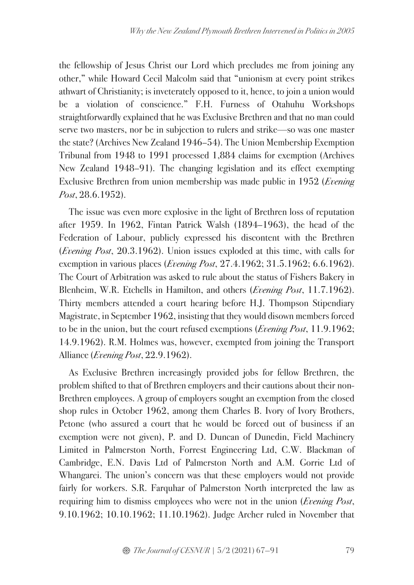the fellowship of Jesus Christ our Lord which precludes me from joining any other," while Howard Cecil Malcolm said that "unionism at every point strikes athwart of Christianity; is inveterately opposed to it, hence, to join a union would be a violation of conscience." F.H. Furness of Otahuhu Workshops straightforwardly explained that he was Exclusive Brethren and that no man could serve two masters, nor be in subjection to rulers and strike—so was one master the state? (Archives New Zealand 1946–54). The Union Membership Exemption Tribunal from 1948 to 1991 processed 1,884 claims for exemption (Archives New Zealand 1948–91). The changing legislation and its effect exempting Exclusive Brethren from union membership was made public in 1952 (*Evening Post*, 28.6.1952).

The issue was even more explosive in the light of Brethren loss of reputation after 1959. In 1962, Fintan Patrick Walsh (1894–1963), the head of the Federation of Labour, publicly expressed his discontent with the Brethren (*Evening Post*, 20.3.1962). Union issues exploded at this time, with calls for exemption in various places (*Evening Post*, 27.4.1962; 31.5.1962; 6.6.1962). The Court of Arbitration was asked to rule about the status of Fishers Bakery in Blenheim, W.R. Etchells in Hamilton, and others (*Evening Post*, 11.7.1962). Thirty members attended a court hearing before H.J. Thompson Stipendiary Magistrate, in September 1962, insisting that they would disown members forced to be in the union, but the court refused exemptions (*Evening Post*, 11.9.1962; 14.9.1962). R.M. Holmes was, however, exempted from joining the Transport Alliance (*Evening Post*, 22.9.1962).

As Exclusive Brethren increasingly provided jobs for fellow Brethren, the problem shifted to that of Brethren employers and their cautions about their non-Brethren employees. A group of employers sought an exemption from the closed shop rules in October 1962, among them Charles B. Ivory of Ivory Brothers, Petone (who assured a court that he would be forced out of business if an exemption were not given), P. and D. Duncan of Dunedin, Field Machinery Limited in Palmerston North, Forrest Engineering Ltd, C.W. Blackman of Cambridge, E.N. Davis Ltd of Palmerston North and A.M. Gorrie Ltd of Whangarei. The union's concern was that these employers would not provide fairly for workers. S.R. Farquhar of Palmerston North interpreted the law as requiring him to dismiss employees who were not in the union (*Evening Post*, 9.10.1962; 10.10.1962; 11.10.1962). Judge Archer ruled in November that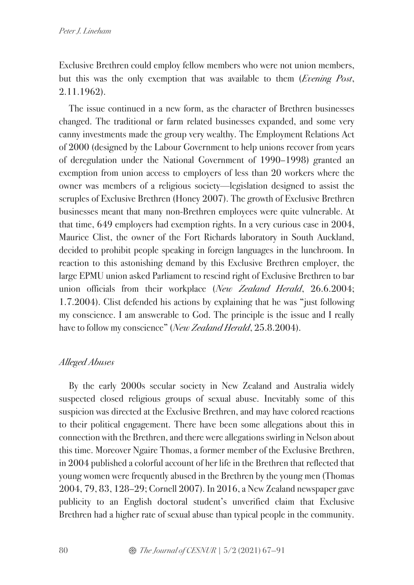Exclusive Brethren could employ fellow members who were not union members, but this was the only exemption that was available to them (*Evening Post*, 2.11.1962).

The issue continued in a new form, as the character of Brethren businesses changed. The traditional or farm related businesses expanded, and some very canny investments made the group very wealthy. The Employment Relations Act of 2000 (designed by the Labour Government to help unions recover from years of deregulation under the National Government of 1990–1998) granted an exemption from union access to employers of less than 20 workers where the owner was members of a religious society—legislation designed to assist the scruples of Exclusive Brethren (Honey 2007). The growth of Exclusive Brethren businesses meant that many non-Brethren employees were quite vulnerable. At that time, 649 employers had exemption rights. In a very curious case in 2004, Maurice Clist, the owner of the Fort Richards laboratory in South Auckland, decided to prohibit people speaking in foreign languages in the lunchroom. In reaction to this astonishing demand by this Exclusive Brethren employer, the large EPMU union asked Parliament to rescind right of Exclusive Brethren to bar union officials from their workplace (*New Zealand Herald*, 26.6.2004; 1.7.2004). Clist defended his actions by explaining that he was "just following my conscience. I am answerable to God. The principle is the issue and I really have to follow my conscience" (*New Zealand Herald*, 25.8.2004).

# *Alleged Abuses*

By the early 2000s secular society in New Zealand and Australia widely suspected closed religious groups of sexual abuse. Inevitably some of this suspicion was directed at the Exclusive Brethren, and may have colored reactions to their political engagement. There have been some allegations about this in connection with the Brethren, and there were allegations swirling in Nelson about this time. Moreover Ngaire Thomas, a former member of the Exclusive Brethren, in 2004 published a colorful account of her life in the Brethren that reflected that young women were frequently abused in the Brethren by the young men (Thomas 2004, 79, 83, 128–29; Cornell 2007). In 2016, a New Zealand newspaper gave publicity to an English doctoral student's unverified claim that Exclusive Brethren had a higher rate of sexual abuse than typical people in the community.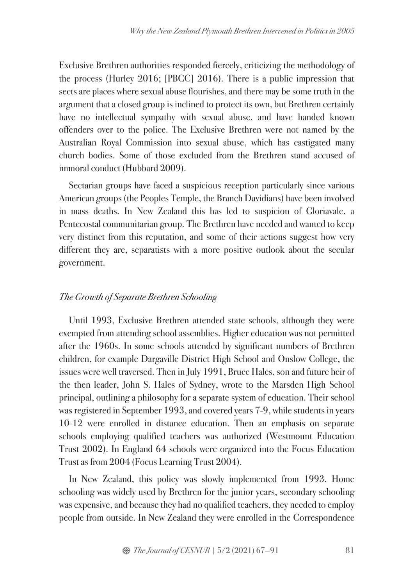Exclusive Brethren authorities responded fiercely, criticizing the methodology of the process (Hurley 2016; [PBCC] 2016). There is a public impression that sects are places where sexual abuse flourishes, and there may be some truth in the argument that a closed group is inclined to protect its own, but Brethren certainly have no intellectual sympathy with sexual abuse, and have handed known offenders over to the police. The Exclusive Brethren were not named by the Australian Royal Commission into sexual abuse, which has castigated many church bodies. Some of those excluded from the Brethren stand accused of immoral conduct (Hubbard 2009).

Sectarian groups have faced a suspicious reception particularly since various American groups (the Peoples Temple, the Branch Davidians) have been involved in mass deaths. In New Zealand this has led to suspicion of Gloriavale, a Pentecostal communitarian group. The Brethren have needed and wanted to keep very distinct from this reputation, and some of their actions suggest how very different they are, separatists with a more positive outlook about the secular government.

# *The Growth of Separate Brethren Schooling*

Until 1993, Exclusive Brethren attended state schools, although they were exempted from attending school assemblies. Higher education was not permitted after the 1960s. In some schools attended by significant numbers of Brethren children, for example Dargaville District High School and Onslow College, the issues were well traversed. Then in July 1991, Bruce Hales, son and future heir of the then leader, John S. Hales of Sydney, wrote to the Marsden High School principal, outlining a philosophy for a separate system of education. Their school was registered in September 1993, and covered years 7-9, while students in years 10-12 were enrolled in distance education. Then an emphasis on separate schools employing qualified teachers was authorized (Westmount Education Trust 2002). In England 64 schools were organized into the Focus Education Trust as from 2004 (Focus Learning Trust 2004).

In New Zealand, this policy was slowly implemented from 1993. Home schooling was widely used by Brethren for the junior years, secondary schooling was expensive, and because they had no qualified teachers, they needed to employ people from outside. In New Zealand they were enrolled in the Correspondence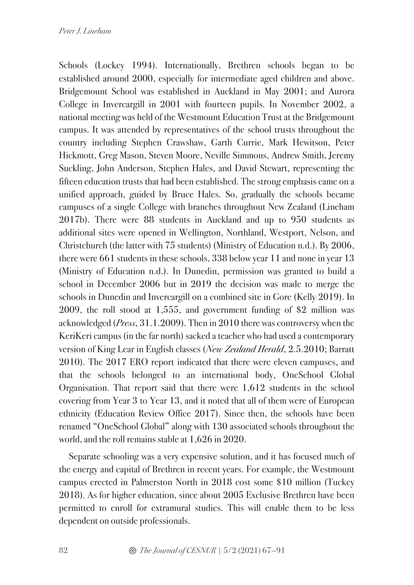Schools (Lockey 1994). Internationally, Brethren schools began to be established around 2000, especially for intermediate aged children and above. Bridgemount School was established in Auckland in May 2001; and Aurora College in Invercargill in 2001 with fourteen pupils. In November 2002, a national meeting was held of the Westmount Education Trust at the Bridgemount campus. It was attended by representatives of the school trusts throughout the country including Stephen Crawshaw, Garth Currie, Mark Hewitson, Peter Hickmott, Greg Mason, Steven Moore, Neville Simmons, Andrew Smith, Jeremy Suckling, John Anderson, Stephen Hales, and David Stewart, representing the fifteen education trusts that had been established. The strong emphasis came on a unified approach, guided by Bruce Hales. So, gradually the schools became campuses of a single College with branches throughout New Zealand (Lineham 2017b). There were 88 students in Auckland and up to 950 students as additional sites were opened in Wellington, Northland, Westport, Nelson, and Christchurch (the latter with 75 students) (Ministry of Education n.d.). By 2006, there were 661 students in these schools, 338 below year 11 and none in year 13 (Ministry of Education n.d.). In Dunedin, permission was granted to build a school in December 2006 but in 2019 the decision was made to merge the schools in Dunedin and Invercargill on a combined site in Gore (Kelly 2019). In 2009, the roll stood at 1,555, and government funding of \$2 million was acknowledged (*Press*, 31.1.2009). Then in 2010 there was controversy when the KeriKeri campus (in the far north) sacked a teacher who had used a contemporary version of King Lear in English classes (*New Zealand Herald*, 2.5.2010; Barratt 2010). The 2017 ERO report indicated that there were eleven campuses, and that the schools belonged to an international body, OneSchool Global Organisation. That report said that there were 1,612 students in the school covering from Year 3 to Year 13, and it noted that all of them were of European ethnicity (Education Review Office 2017). Since then, the schools have been renamed "OneSchool Global" along with 130 associated schools throughout the world, and the roll remains stable at 1,626 in 2020.

Separate schooling was a very expensive solution, and it has focused much of the energy and capital of Brethren in recent years. For example, the Westmount campus erected in Palmerston North in 2018 cost some \$10 million (Tuckey 2018). As for higher education, since about 2005 Exclusive Brethren have been permitted to enroll for extramural studies. This will enable them to be less dependent on outside professionals.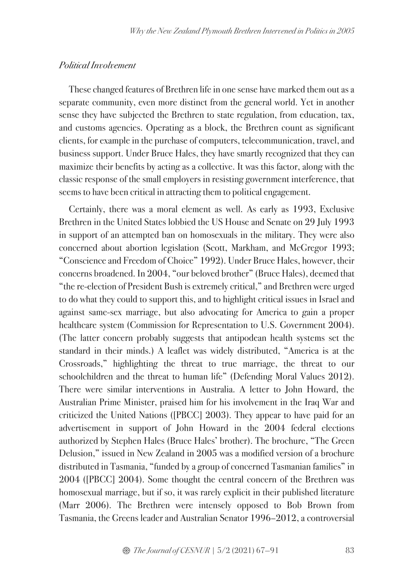### *Political Involvement*

These changed features of Brethren life in one sense have marked them out as a separate community, even more distinct from the general world. Yet in another sense they have subjected the Brethren to state regulation, from education, tax, and customs agencies. Operating as a block, the Brethren count as significant clients, for example in the purchase of computers, telecommunication, travel, and business support. Under Bruce Hales, they have smartly recognized that they can maximize their benefits by acting as a collective. It was this factor, along with the classic response of the small employers in resisting government interference, that seems to have been critical in attracting them to political engagement.

Certainly, there was a moral element as well. As early as 1993, Exclusive Brethren in the United States lobbied the US House and Senate on 29 July 1993 in support of an attempted ban on homosexuals in the military. They were also concerned about abortion legislation (Scott, Markham, and McGregor 1993; "Conscience and Freedom of Choice" 1992). Under Bruce Hales, however, their concerns broadened. In 2004, "our beloved brother" (Bruce Hales), deemed that "the re-election of President Bush is extremely critical," and Brethren were urged to do what they could to support this, and to highlight critical issues in Israel and against same-sex marriage, but also advocating for America to gain a proper healthcare system (Commission for Representation to U.S. Government 2004). (The latter concern probably suggests that antipodean health systems set the standard in their minds.) A leaflet was widely distributed, "America is at the Crossroads," highlighting the threat to true marriage, the threat to our schoolchildren and the threat to human life" (Defending Moral Values 2012). There were similar interventions in Australia. A letter to John Howard, the Australian Prime Minister, praised him for his involvement in the Iraq War and criticized the United Nations ([PBCC] 2003). They appear to have paid for an advertisement in support of John Howard in the 2004 federal elections authorized by Stephen Hales (Bruce Hales' brother). The brochure, "The Green Delusion," issued in New Zealand in 2005 was a modified version of a brochure distributed in Tasmania, "funded by a group of concerned Tasmanian families" in 2004 ([PBCC] 2004). Some thought the central concern of the Brethren was homosexual marriage, but if so, it was rarely explicit in their published literature (Marr 2006). The Brethren were intensely opposed to Bob Brown from Tasmania, the Greens leader and Australian Senator 1996–2012, a controversial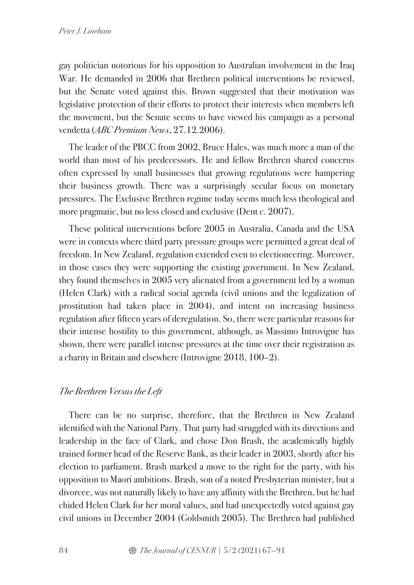gay politician notorious for his opposition to Australian involvement in the Iraq War. He demanded in 2006 that Brethren political interventions be reviewed, but the Senate voted against this. Brown suggested that their motivation was legislative protection of their efforts to protect their interests when members left the movement, but the Senate seems to have viewed his campaign as a personal vendetta (*ABC Premium News*, 27.12.2006).

The leader of the PBCC from 2002, Bruce Hales, was much more a man of the world than most of his predecessors. He and fellow Brethren shared concerns often expressed by small businesses that growing regulations were hampering their business growth. There was a surprisingly secular focus on monetary pressures. The Exclusive Brethren regime today seems much less theological and more pragmatic, but no less closed and exclusive (Dent c. 2007).

These political interventions before 2005 in Australia, Canada and the USA were in contexts where third party pressure groups were permitted a great deal of freedom. In New Zealand, regulation extended even to electioneering. Moreover, in those cases they were supporting the existing government. In New Zealand, they found themselves in 2005 very alienated from a government led by a woman (Helen Clark) with a radical social agenda (civil unions and the legalization of prostitution had taken place in 2004), and intent on increasing business regulation after fifteen years of deregulation. So, there were particular reasons for their intense hostility to this government, although, as Massimo Introvigne has shown, there were parallel intense pressures at the time over their registration as a charity in Britain and elsewhere (Introvigne 2018, 100–2).

# *The Brethren Versus the Left*

There can be no surprise, therefore, that the Brethren in New Zealand identified with the National Party. That party had struggled with its directions and leadership in the face of Clark, and chose Don Brash, the academically highly trained former head of the Reserve Bank, as their leader in 2003, shortly after his election to parliament. Brash marked a move to the right for the party, with his opposition to Maori ambitions. Brash, son of a noted Presbyterian minister, but a divorcee, was not naturally likely to have any affinity with the Brethren, but he had chided Helen Clark for her moral values, and had unexpectedly voted against gay civil unions in December 2004 (Goldsmith 2005). The Brethren had published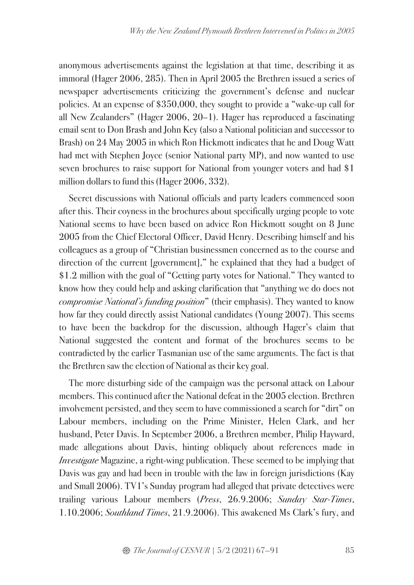anonymous advertisements against the legislation at that time, describing it as immoral (Hager 2006, 285). Then in April 2005 the Brethren issued a series of newspaper advertisements criticizing the government's defense and nuclear policies. At an expense of \$350,000, they sought to provide a "wake-up call for all New Zealanders" (Hager 2006, 20–1). Hager has reproduced a fascinating email sent to Don Brash and John Key (also a National politician and successor to Brash) on 24 May 2005 in which Ron Hickmott indicates that he and Doug Watt had met with Stephen Joyce (senior National party MP), and now wanted to use seven brochures to raise support for National from younger voters and had \$1 million dollars to fund this (Hager 2006, 332).

Secret discussions with National officials and party leaders commenced soon after this. Their coyness in the brochures about specifically urging people to vote National seems to have been based on advice Ron Hickmott sought on 8 June 2005 from the Chief Electoral Officer, David Henry. Describing himself and his colleagues as a group of "Christian businessmen concerned as to the course and direction of the current [government]," he explained that they had a budget of \$1.2 million with the goal of "Getting party votes for National." They wanted to know how they could help and asking clarification that "anything we do does not *compromise National's funding position*" (their emphasis). They wanted to know how far they could directly assist National candidates (Young 2007). This seems to have been the backdrop for the discussion, although Hager's claim that National suggested the content and format of the brochures seems to be contradicted by the earlier Tasmanian use of the same arguments. The fact is that the Brethren saw the election of National as their key goal.

The more disturbing side of the campaign was the personal attack on Labour members. This continued after the National defeat in the 2005 election. Brethren involvement persisted, and they seem to have commissioned a search for "dirt" on Labour members, including on the Prime Minister, Helen Clark, and her husband, Peter Davis. In September 2006, a Brethren member, Philip Hayward, made allegations about Davis, hinting obliquely about references made in *Investigate* Magazine, a right-wing publication. These seemed to be implying that Davis was gay and had been in trouble with the law in foreign jurisdictions (Kay and Small 2006). TV1's Sunday program had alleged that private detectives were trailing various Labour members (*Press*, 26.9.2006; *Sunday Star-Times*, 1.10.2006; *Southland Times*, 21.9.2006). This awakened Ms Clark's fury, and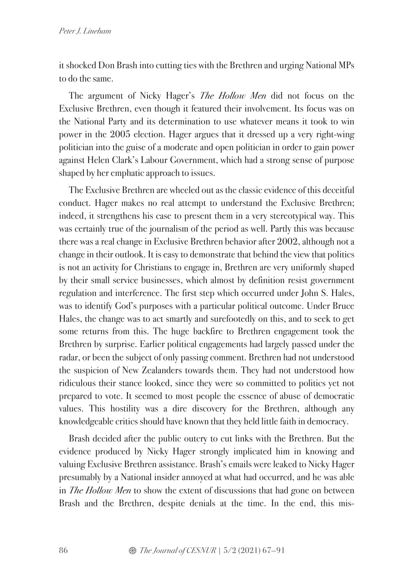it shocked Don Brash into cutting ties with the Brethren and urging National MPs to do the same.

The argument of Nicky Hager's *The Hollow Men* did not focus on the Exclusive Brethren, even though it featured their involvement. Its focus was on the National Party and its determination to use whatever means it took to win power in the 2005 election. Hager argues that it dressed up a very right-wing politician into the guise of a moderate and open politician in order to gain power against Helen Clark's Labour Government, which had a strong sense of purpose shaped by her emphatic approach to issues.

The Exclusive Brethren are wheeled out as the classic evidence of this deceitful conduct. Hager makes no real attempt to understand the Exclusive Brethren; indeed, it strengthens his case to present them in a very stereotypical way. This was certainly true of the journalism of the period as well. Partly this was because there was a real change in Exclusive Brethren behavior after 2002, although not a change in their outlook. It is easy to demonstrate that behind the view that politics is not an activity for Christians to engage in, Brethren are very uniformly shaped by their small service businesses, which almost by definition resist government regulation and interference. The first step which occurred under John S. Hales, was to identify God's purposes with a particular political outcome. Under Bruce Hales, the change was to act smartly and surefootedly on this, and to seek to get some returns from this. The huge backfire to Brethren engagement took the Brethren by surprise. Earlier political engagements had largely passed under the radar, or been the subject of only passing comment. Brethren had not understood the suspicion of New Zealanders towards them. They had not understood how ridiculous their stance looked, since they were so committed to politics yet not prepared to vote. It seemed to most people the essence of abuse of democratic values. This hostility was a dire discovery for the Brethren, although any knowledgeable critics should have known that they held little faith in democracy.

Brash decided after the public outcry to cut links with the Brethren. But the evidence produced by Nicky Hager strongly implicated him in knowing and valuing Exclusive Brethren assistance. Brash's emails were leaked to Nicky Hager presumably by a National insider annoyed at what had occurred, and he was able in *The Hollow Men* to show the extent of discussions that had gone on between Brash and the Brethren, despite denials at the time. In the end, this mis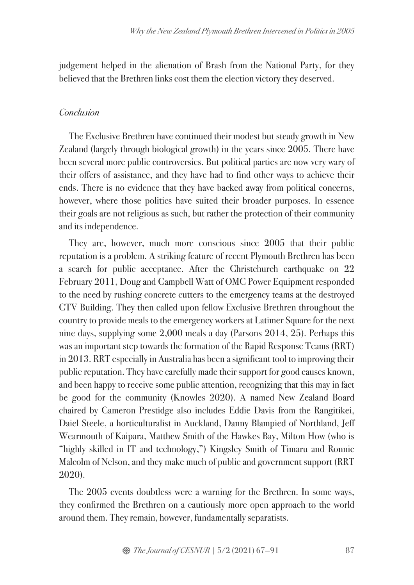judgement helped in the alienation of Brash from the National Party, for they believed that the Brethren links cost them the election victory they deserved.

### *Conclusion*

The Exclusive Brethren have continued their modest but steady growth in New Zealand (largely through biological growth) in the years since 2005. There have been several more public controversies. But political parties are now very wary of their offers of assistance, and they have had to find other ways to achieve their ends. There is no evidence that they have backed away from political concerns, however, where those politics have suited their broader purposes. In essence their goals are not religious as such, but rather the protection of their community and its independence.

They are, however, much more conscious since 2005 that their public reputation is a problem. A striking feature of recent Plymouth Brethren has been a search for public acceptance. After the Christchurch earthquake on 22 February 2011, Doug and Campbell Watt of OMC Power Equipment responded to the need by rushing concrete cutters to the emergency teams at the destroyed CTV Building. They then called upon fellow Exclusive Brethren throughout the country to provide meals to the emergency workers at Latimer Square for the next nine days, supplying some 2,000 meals a day (Parsons 2014, 25). Perhaps this was an important step towards the formation of the Rapid Response Teams (RRT) in 2013. RRT especially in Australia has been a significant tool to improving their public reputation. They have carefully made their support for good causes known, and been happy to receive some public attention, recognizing that this may in fact be good for the community (Knowles 2020). A named New Zealand Board chaired by Cameron Prestidge also includes Eddie Davis from the Rangitikei, Daiel Steele, a horticulturalist in Auckland, Danny Blampied of Northland, Jeff Wearmouth of Kaipara, Matthew Smith of the Hawkes Bay, Milton How (who is "highly skilled in IT and technology,") Kingsley Smith of Timaru and Ronnie Malcolm of Nelson, and they make much of public and government support (RRT 2020).

The 2005 events doubtless were a warning for the Brethren. In some ways, they confirmed the Brethren on a cautiously more open approach to the world around them. They remain, however, fundamentally separatists.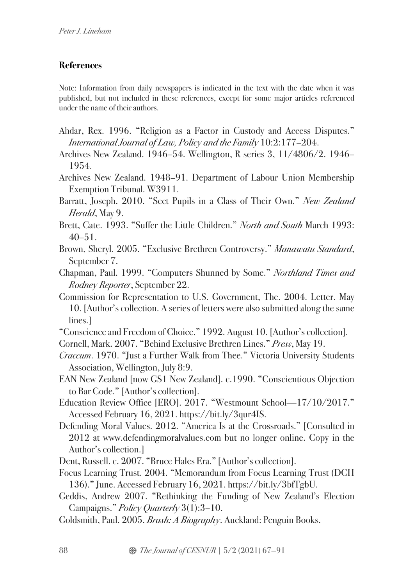# **References**

Note: Information from daily newspapers is indicated in the text with the date when it was published, but not included in these references, except for some major articles referenced under the name of their authors.

- Ahdar, Rex. 1996. "Religion as a Factor in Custody and Access Disputes." *International Journal of Law, Policy and the Family* 10:2:177–204.
- Archives New Zealand. 1946–54. Wellington, R series 3, 11/4806/2. 1946– 1954.
- Archives New Zealand. 1948–91. Department of Labour Union Membership Exemption Tribunal. W3911.
- Barratt, Joseph. 2010. "Sect Pupils in a Class of Their Own." *New Zealand Herald*, May 9.
- Brett, Cate. 1993. "Suffer the Little Children." *North and South* March 1993:  $40 - 51$ .
- Brown, Sheryl. 2005. "Exclusive Brethren Controversy." *Manawatu Standard*, September 7.
- Chapman, Paul. 1999. "Computers Shunned by Some." *Northland Times and Rodney Reporter*, September 22.
- Commission for Representation to U.S. Government, The. 2004. Letter. May 10. [Author's collection. A series of letters were also submitted along the same lines.]
- "Conscience and Freedom of Choice." 1992. August 10. [Author's collection].
- Cornell, Mark. 2007. "Behind Exclusive Brethren Lines." *Press*, May 19.
- *Craccum*. 1970. "Just a Further Walk from Thee." Victoria University Students Association, Wellington, July 8:9.
- EAN New Zealand [now GS1 New Zealand]. c.1990. "Conscientious Objection to Bar Code." [Author's collection].
- Education Review Office [ERO]. 2017. "Westmount School—17/10/2017." Accessed February 16, 2021. https://bit.ly/3qur4IS.
- Defending Moral Values. 2012. "America Is at the Crossroads." [Consulted in 2012 at www.defendingmoralvalues.com but no longer online. Copy in the Author's collection.]
- Dent, Russell. c. 2007. "Bruce Hales Era." [Author's collection].
- Focus Learning Trust. 2004. "Memorandum from Focus Learning Trust (DCH 136)." June. Accessed February 16, 2021. https://bit.ly/3bfTgbU.
- Geddis, Andrew 2007. "Rethinking the Funding of New Zealand's Election Campaigns." *Policy Quarterly* 3(1):3–10.
- Goldsmith, Paul. 2005. *Brash: A Biography*. Auckland: Penguin Books.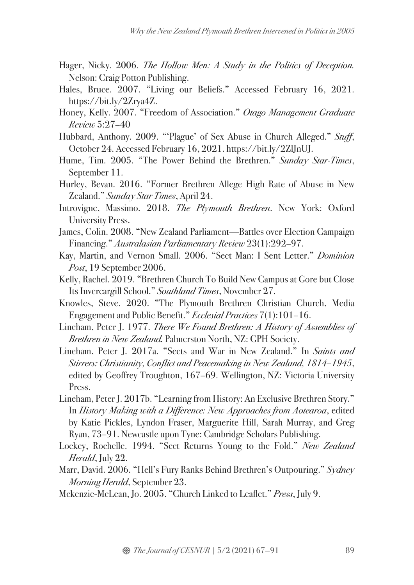- Hager, Nicky. 2006. *The Hollow Men: A Study in the Politics of Deception.* Nelson: Craig Potton Publishing.
- Hales, Bruce. 2007. "Living our Beliefs." Accessed February 16, 2021. https://bit.ly/2Zrya4Z.
- Honey, Kelly. 2007. "Freedom of Association." *Otago Management Graduate Review* 5:27–40
- Hubbard, Anthony. 2009. "'Plague' of Sex Abuse in Church Alleged." *Stuff*, October 24. Accessed February 16, 2021. https://bit.ly/2ZlJnUJ.
- Hume, Tim. 2005. "The Power Behind the Brethren." *Sunday Star-Times*, September 11.
- Hurley, Bevan. 2016. "Former Brethren Allege High Rate of Abuse in New Zealand." *Sunday Star Times*, April 24.
- Introvigne, Massimo. 2018. *The Plymouth Brethren*. New York: Oxford University Press.
- James, Colin. 2008. "New Zealand Parliament—Battles over Election Campaign Financing." *Australasian Parliamentary Review* 23(1):292–97.
- Kay, Martin, and Vernon Small. 2006. "Sect Man: I Sent Letter." *Dominion Post*, 19 September 2006.
- Kelly, Rachel. 2019. "Brethren Church To Build New Campus at Gore but Close Its Invercargill School." *Southland Times*, November 27.
- Knowles, Steve. 2020. "The Plymouth Brethren Christian Church, Media Engagement and Public Benefit." *Ecclesial Practices* 7(1):101–16.
- Lineham, Peter J. 1977. *There We Found Brethren: A History of Assemblies of Brethren in New Zealand.* Palmerston North, NZ: GPH Society.
- Lineham, Peter J. 2017a. "Sects and War in New Zealand." In *Saints and Stirrers: Christianity, Conflict and Peacemaking in New Zealand, 1814–1945*, edited by Geoffrey Troughton, 167–69. Wellington, NZ: Victoria University Press.
- Lineham, Peter J. 2017b. "Learning from History: An Exclusive Brethren Story." In *History Making with a Difference: New Approaches from Aotearoa*, edited by Katie Pickles, Lyndon Fraser, Marguerite Hill, Sarah Murray, and Greg Ryan, 73–91. Newcastle upon Tyne: Cambridge Scholars Publishing.
- Lockey, Rochelle. 1994. "Sect Returns Young to the Fold." *New Zealand Herald*, July 22.
- Marr, David. 2006. "Hell's Fury Ranks Behind Brethren's Outpouring." *Sydney Morning Herald*, September 23.

Mckenzie-McLean, Jo. 2005. "Church Linked to Leaflet." *Press*, July 9.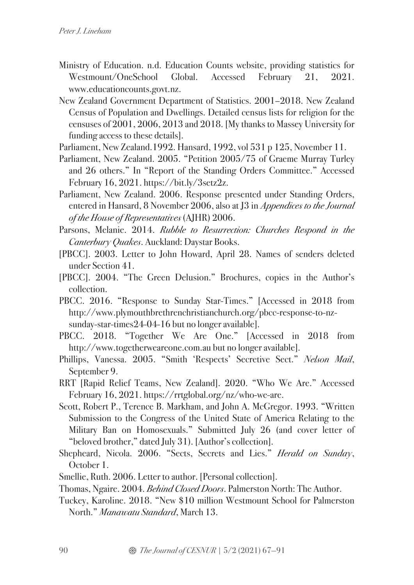- Ministry of Education. n.d. Education Counts website, providing statistics for Westmount/OneSchool Global. Accessed February 21, 2021. www.educationcounts.govt.nz.
- New Zealand Government Department of Statistics. 2001–2018. New Zealand Census of Population and Dwellings. Detailed census lists for religion for the censuses of 2001, 2006, 2013 and 2018. [My thanks to Massey University for funding access to these details].
- Parliament, New Zealand.1992. Hansard, 1992, vol 531 p 125, November 11.
- Parliament, New Zealand. 2005. "Petition 2005/75 of Graeme Murray Turley and 26 others." In "Report of the Standing Orders Committee." Accessed February 16, 2021. https://bit.ly/3setz2z.
- Parliament, New Zealand. 2006. Response presented under Standing Orders, entered in Hansard, 8 November 2006, also at J3 in *Appendices to the Journal of the House of Representatives* (AJHR) 2006.
- Parsons, Melanie. 2014. *Rubble to Resurrection: Churches Respond in the Canterbury Quakes*. Auckland: Daystar Books.
- [PBCC]. 2003. Letter to John Howard, April 28. Names of senders deleted under Section 41.
- [PBCC]. 2004. "The Green Delusion." Brochures, copies in the Author's collection.
- PBCC. 2016. "Response to Sunday Star-Times." [Accessed in 2018 from http://www.plymouthbrethrenchristianchurch.org/pbcc-response-to-nzsunday-star-times24-04-16 but no longer available].
- PBCC. 2018. "Together We Are One." [Accessed in 2018 from http://www.togetherweareone.com.au but no longer available].
- Phillips, Vanessa. 2005. "Smith 'Respects' Secretive Sect." *Nelson Mail*, September 9.
- RRT [Rapid Relief Teams, New Zealand]. 2020. "Who We Are." Accessed February 16, 2021. https://rrtglobal.org/nz/who-we-are.
- Scott, Robert P., Terence B. Markham, and John A. McGregor. 1993. "Written Submission to the Congress of the United State of America Relating to the Military Ban on Homosexuals." Submitted July 26 (and cover letter of "beloved brother," dated July 31). [Author's collection].
- Shepheard, Nicola. 2006. "Sects, Secrets and Lies." *Herald on Sunday*, October 1.
- Smellie, Ruth. 2006. Letter to author. [Personal collection].
- Thomas, Ngaire. 2004. *Behind Closed Doors*. Palmerston North: The Author.
- Tuckey, Karoline. 2018. "New \$10 million Westmount School for Palmerston North." *Manawatu Standard*, March 13.